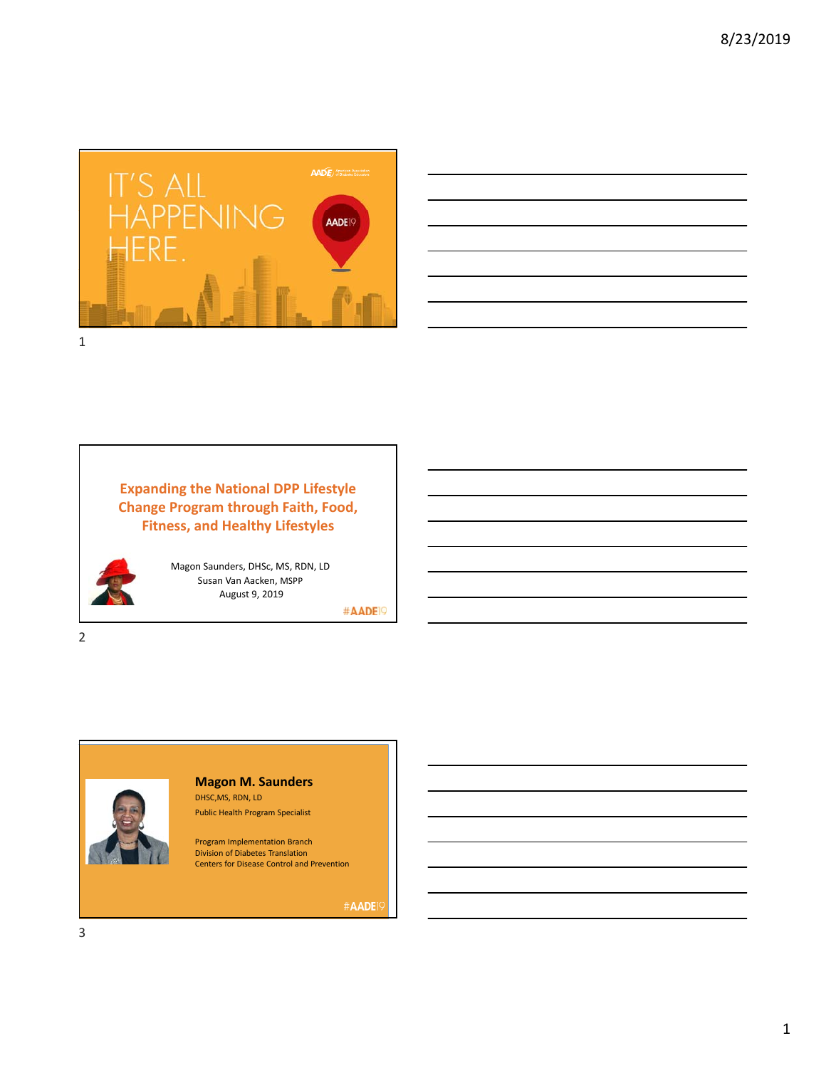



**Expanding the National DPP Lifestyle Change Program through Faith, Food, Fitness, and Healthy Lifestyles** 



2

Magon Saunders, DHSc, MS, RDN, LD Susan Van Aacken, MSPP August 9, 2019

#AADE<sup>19</sup>



**Magon M. Saunders** DHSC,MS, RDN, LD

Public Health Program Specialist

Program Implementation Branch Division of Diabetes Translation Centers for Disease Control and Prevention

#AADE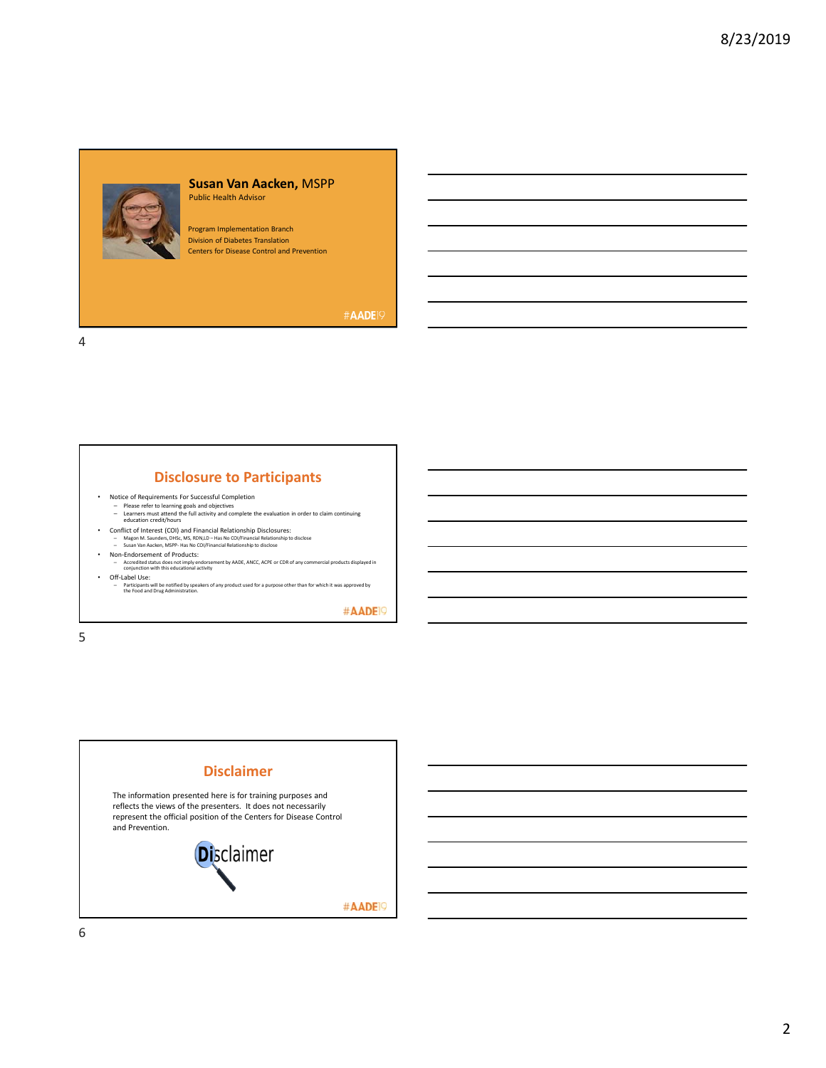

#### **Susan Van Aacken,** MSPP Public Health Advisor

Program Implementation Branch Division of Diabetes Translation Centers for Disease Control and Prevention

#AADE<sup>19</sup>

4

# **Disclosure to Participants**

- 
- Notice of Requirements For Successful Completion<br>– Please refer to learning goals and objectives<br>– Learners must attend the full activity and complete the evaluation in order to claim continuing<br>education credit/hours
- Conflict of Interest (COI) and Financial Relationship Disclosures:<br>- Magon M. Saunders, DHSc, MS, RDN,LD Has No CO//Financial Relationship to disclose<br>- Susan Van Aacken, MSPP- Has No CO//Financial Relationship to disc
- 
- Non-Endorsement of Products:<br>
− Accredited status does not imply endorsement by AADE, ANCC, ACPE or CDR of any commercial products displayed in<br>
conjunction with this educational activity • Off-Label Use:
- Participants will be notified by speakers of any product used for a purpose other than for which it was approved by the Food and Drug Administration.

#AADE<sup>19</sup>

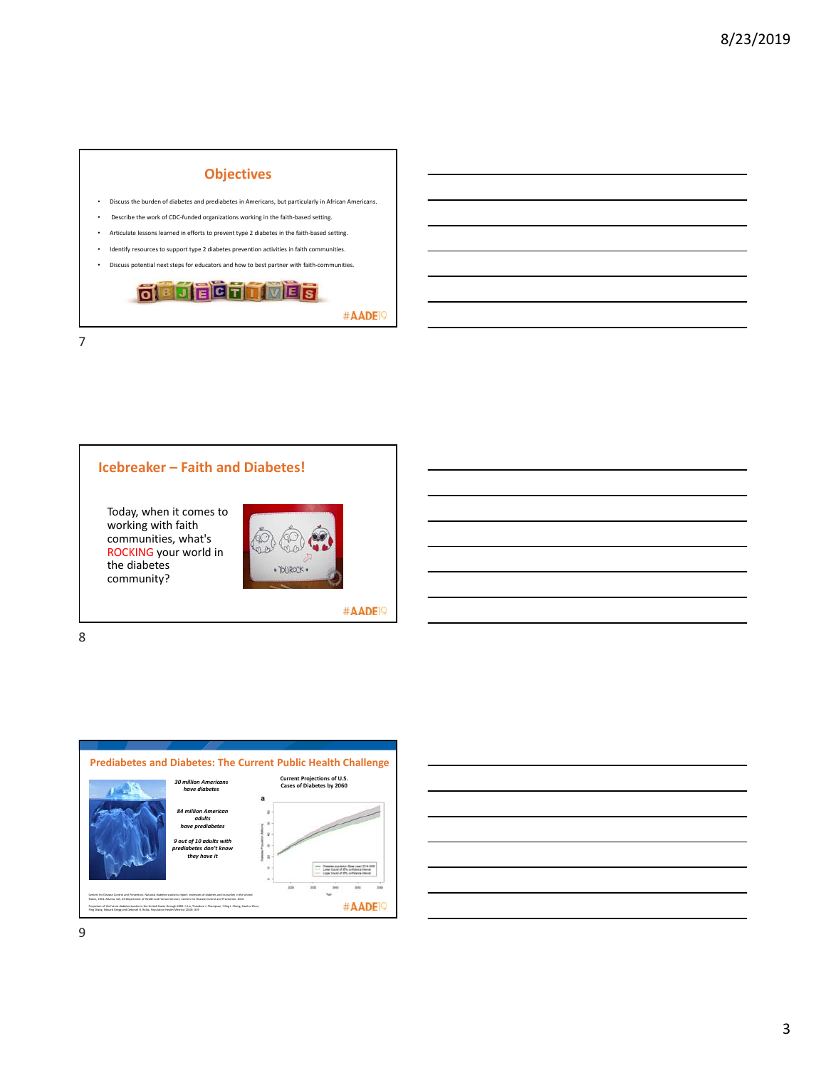

# **Icebreaker – Faith and Diabetes!**

Today, when it comes to working with faith communities, what's ROCKING your world in the diabetes community?



#AADE<sup>19</sup>

8

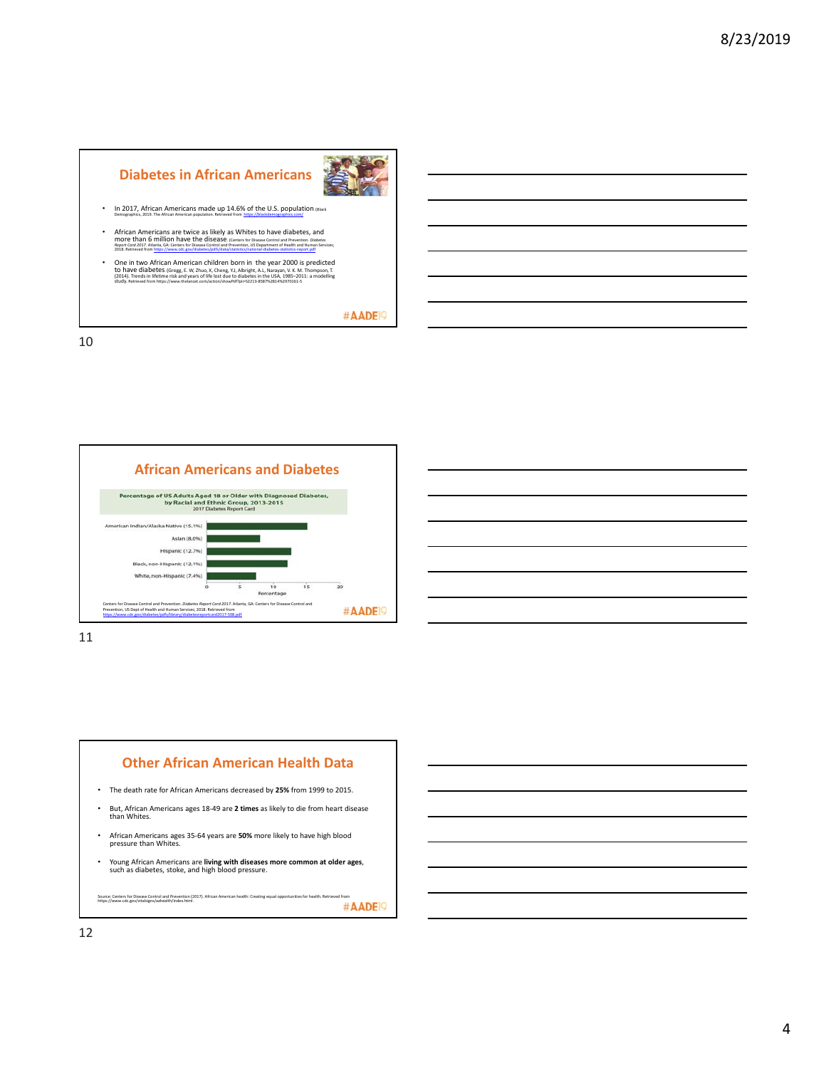# **Diabetes in African Americans**



• In 2017, African Americans made up 14.6% of the U.S. population. (Black Demographics, 2019. The African American population. Retrieved from https://blackdemographics.com/

- **African Americans are twice as likely as Whites to have diabetes, and<br>more critically furniture the disperse of the critical contract of the contract and recented ables<br>2018 Retrieved from https://www.cit.exy/ablest/2007/**
- One in two African American children born in the year  $2000$  is predicted to have diabetes (Gregg, E. W. Zhuo, X. Cheng, V.J. Albright, A.L. Narayan, V. K. M. Thompson, T. (2014). Trends in lifetime risk and years of li

#AADE<sup>19</sup>

10



11



Young African Americans are **living with diseases more common at older ages**, such as diabetes, stoke, and high blood pressure.

Source: Centers for Disease Control and Prevention (2017). African American health: Creating equal opportunities for health. Retrieved from  $\#\mathsf{ADE}$   $\heartsuit$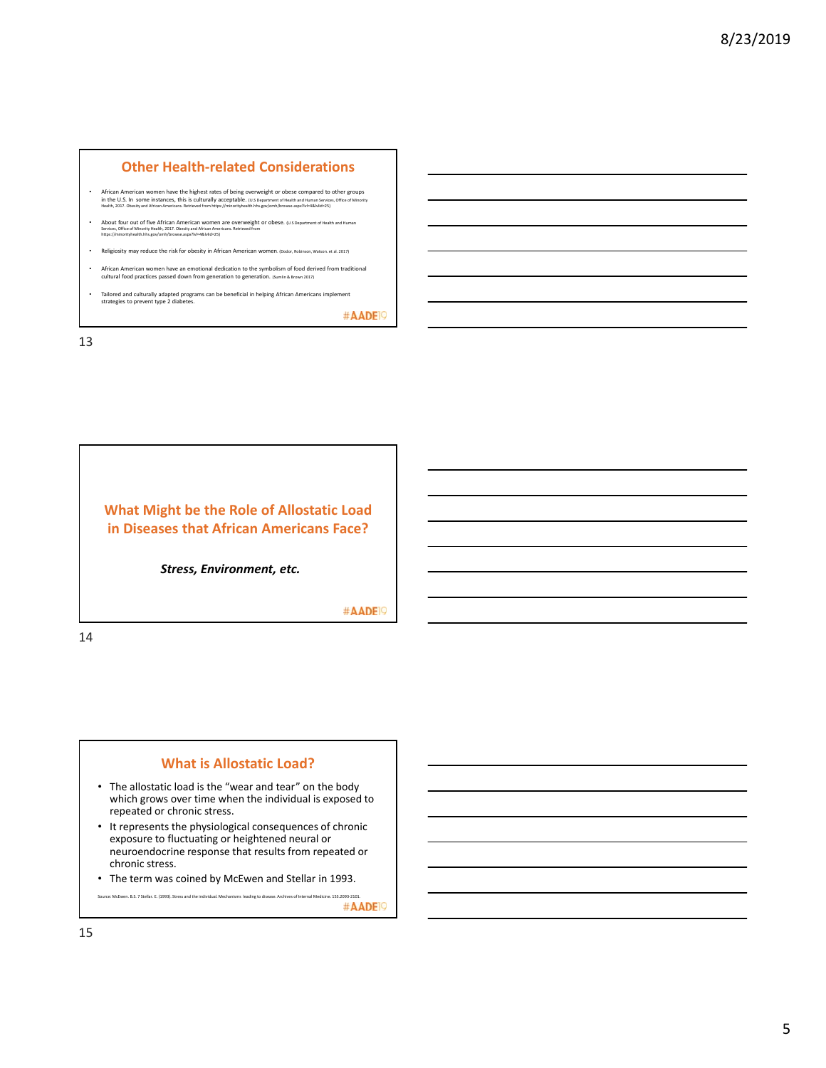## **Other Health‐related Considerations**

- **African American women have the highest rates of being overweight or obese compared to other groups**<br>In the U.S. In some instances, this is culturally acceptable. (us operatment of Health and Human Services, Office of Min
- About four out of five African American women are overweight or obese. (U.s Department of Health and Human<br>Services, Office of Minority Health, 2017. Obestiy and African Americans. Retrieved from<br>https://minorityhealth.
- Religiosity may reduce the risk for obesity in African American women. (Dodor, Robinson, Watson. et al. 2017).
- African American women have an emotional dedication to the symbolism of food derived from traditional cultural food practices passed down from generation to generation. (Sumlin & Brown 2017)
- Tailored and culturally adapted programs can be beneficial in helping African Americans implement strategies to prevent type 2 diabetes.

#AADE<sup>19</sup>

13

# **What Might be the Role of Allostatic Load in Diseases that African Americans Face?**

*Stress, Environment, etc.*

#AADE<sup>19</sup>

14

# **What is Allostatic Load?**

- The allostatic load is the "wear and tear" on the body which grows over time when the individual is exposed to repeated or chronic stress.
- It represents the physiological consequences of chronic exposure to fluctuating or heightened neural or neuroendocrine response that results from repeated or chronic stress.
- The term was coined by McEwen and Stellar in 1993.

Source: McEwen. B.S. 7 Stellar. E. (1993). Stress and the individual. Mechanisms leading to disease. Archive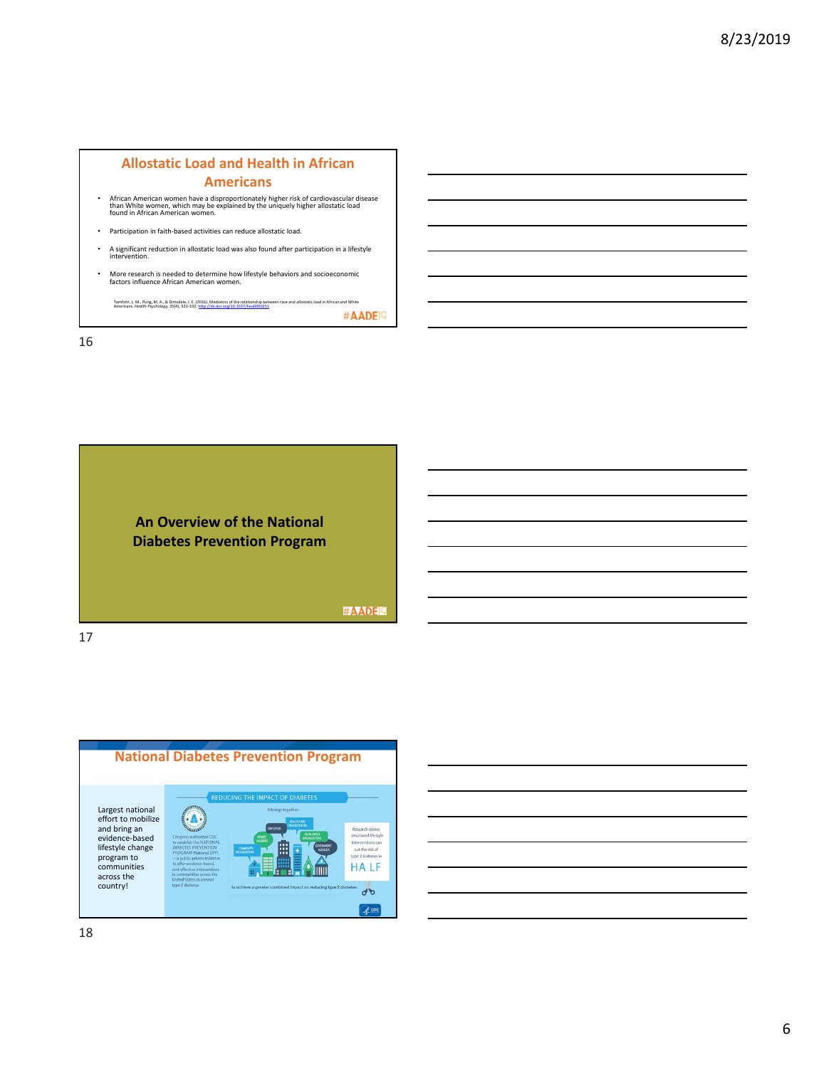## **Allostatic Load and Health in African Americans**

- African American women have a disproportionately higher risk of cardiovascular disease than White women, which may be explained by the uniquely higher allostatic load found in African American women.
- Participation in faith‐based activities can reduce allostatic load.
- A significant reduction in allostatic load was also found after participation in a lifestyle intervention.
- More research is needed to determine how lifestyle behaviors and socioeconomic factors influence African American women.

Tomfoty, L. M., Ping, M. A., B. Dimidele, J. E. (2016). Mediators of the relationship between race and allostatic load in African and White<br>Americans, Hostin Psychology, 35(4), 322-332 https://d.co.org/10.1037/https://doi



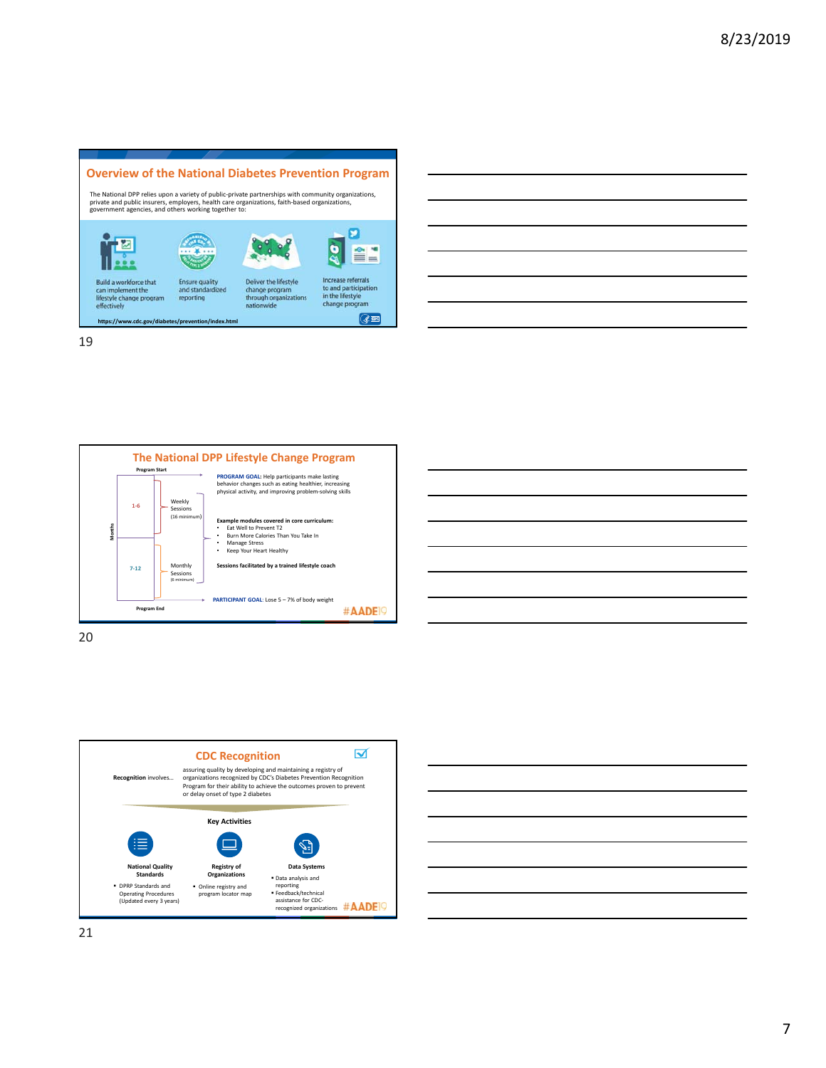





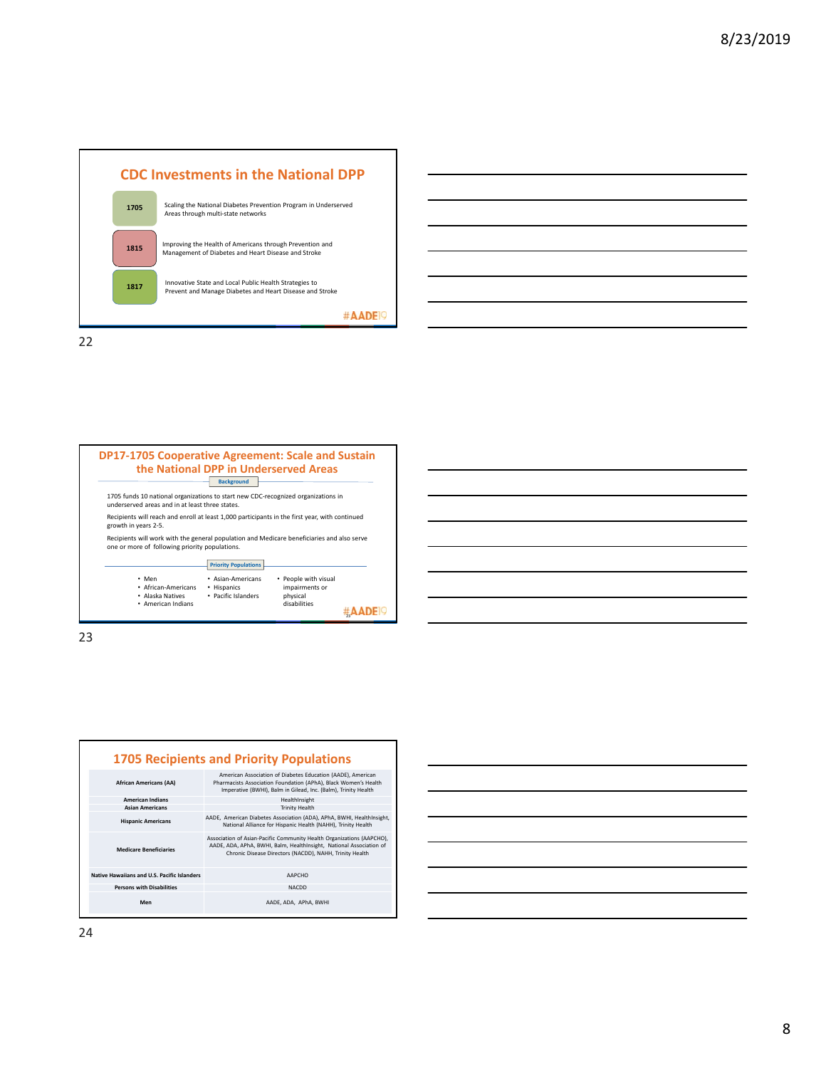





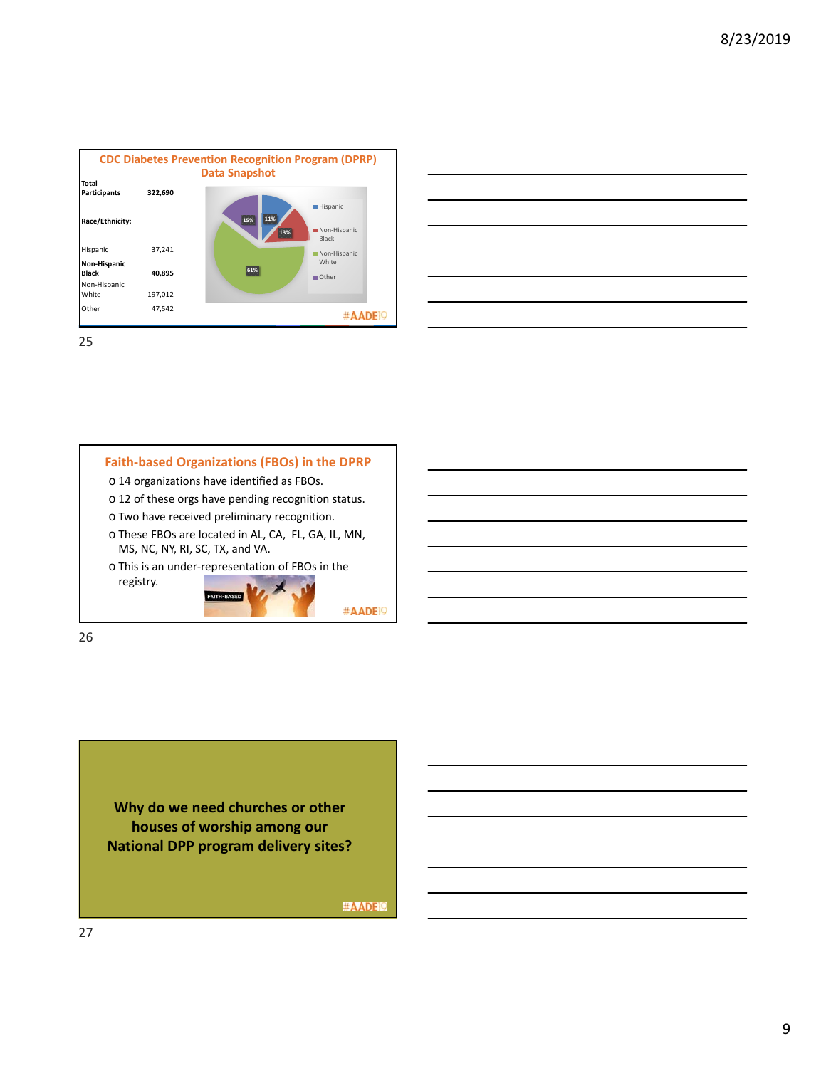





o This is an under‐representation of FBOs in the registry. FAITH-BASED

#AADE<sup>19</sup>

26

**Why do we need churches or other houses of worship among our National DPP program delivery sites?** 

#AADEI?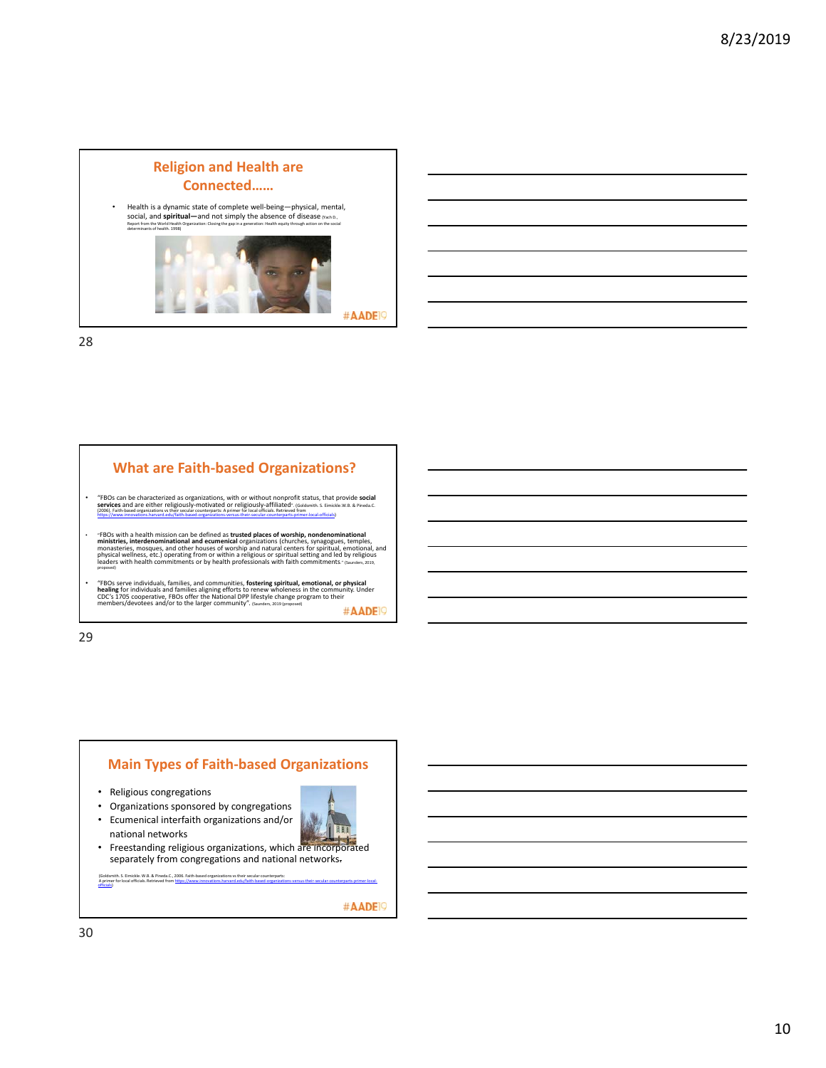





- Religious congregations
- Organizations sponsored by congregations
- Ecumenical interfaith organizations and/or national networks
- LIT
- Freestanding religious organizations, which are incorporated separately from congregations and national networks.

(Goldsmith. S. Eimickle. W.B. & Pineda.C., 2006. Faith-based organizations vs their secular counterparts:<br>A primer for local officials. Retrieved from <u>https://www.innovations.harvard.edu/faith-based-organizations-versus-t</u>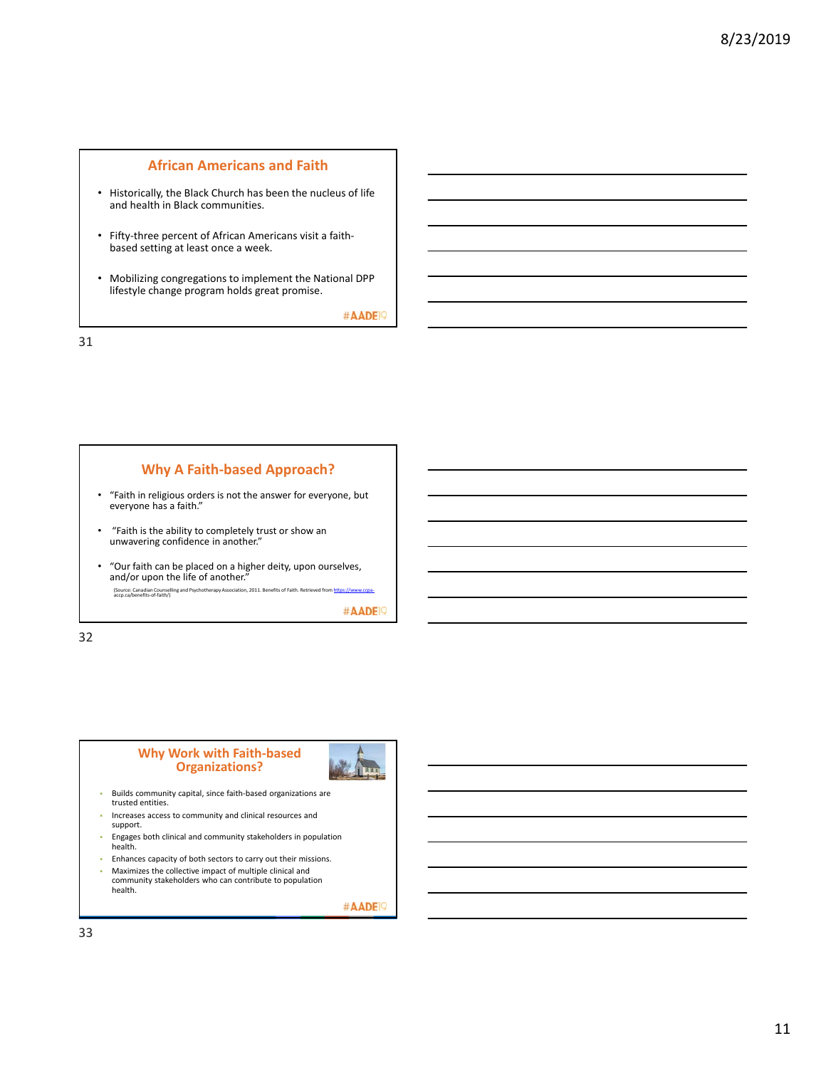#### **African Americans and Faith**

- Historically, the Black Church has been the nucleus of life and health in Black communities.
- Fifty‐three percent of African Americans visit a faith‐ based setting at least once a week.
- Mobilizing congregations to implement the National DPP lifestyle change program holds great promise.

#AADE<sup>19</sup>

31

#### **Why A Faith‐based Approach?**

- "Faith in religious orders is not the answer for everyone, but everyone has a faith."
- "Faith is the ability to completely trust or show an unwavering confidence in another."
- "Our faith can be placed on a higher deity, upon ourselves, and/or upon the life of another."

(Source: Canadian Counselling and Psychotherapy Association, 2011. Benefits of Faith. Retrieved from htt<br>accp.ca/benefits‐of‐faith/)

#AADE<sup>19</sup>

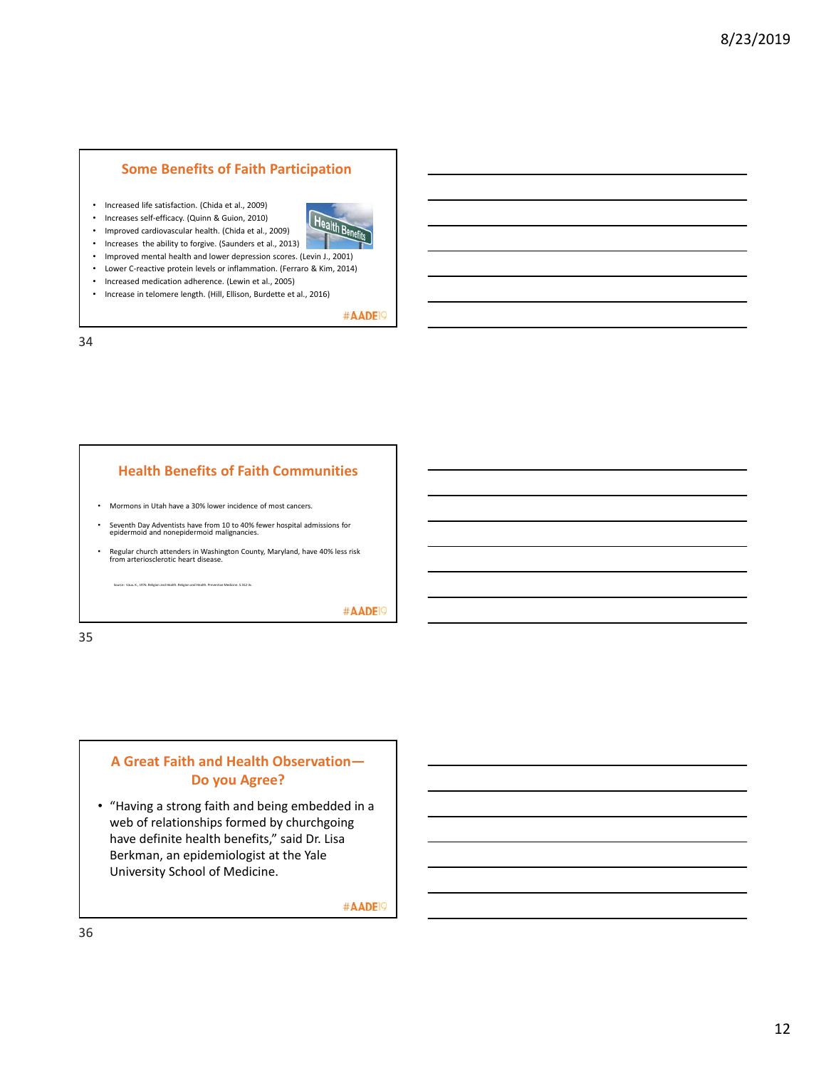#### **Some Benefits of Faith Participation**

- Increased life satisfaction. (Chida et al., 2009)
- Increases self‐efficacy. (Quinn & Guion, 2010)
- Improved cardiovascular health. (Chida et al., 2009)
- Increases the ability to forgive. (Saunders et al., 2013)
- Improved mental health and lower depression scores. (Levin J., 2001)
- Lower C‐reactive protein levels or inflammation. (Ferraro & Kim, 2014)
- Increased medication adherence. (Lewin et al., 2005)
- Increase in telomere length. (Hill, Ellison, Burdette et al., 2016)

#AADE<sup>19</sup>

34

## **Health Benefits of Faith Communities**

- Mormons in Utah have a 30% lower incidence of most cancers.
- Seventh Day Adventists have from 10 to 40% fewer hospital admissions for epidermoid and nonepidermoid malignancies.
- Regular church attenders in Washington County, Maryland, have 40% less risk from arteriosclerotic heart disease.

.<br>Vaux. K., 1976. Religion and Health. Religion and Health. Pre

#AADE<sup>19</sup>

35

# **A Great Faith and Health Observation— Do you Agree?**

• "Having a strong faith and being embedded in a web of relationships formed by churchgoing have definite health benefits," said Dr. Lisa Berkman, an epidemiologist at the Yale University School of Medicine.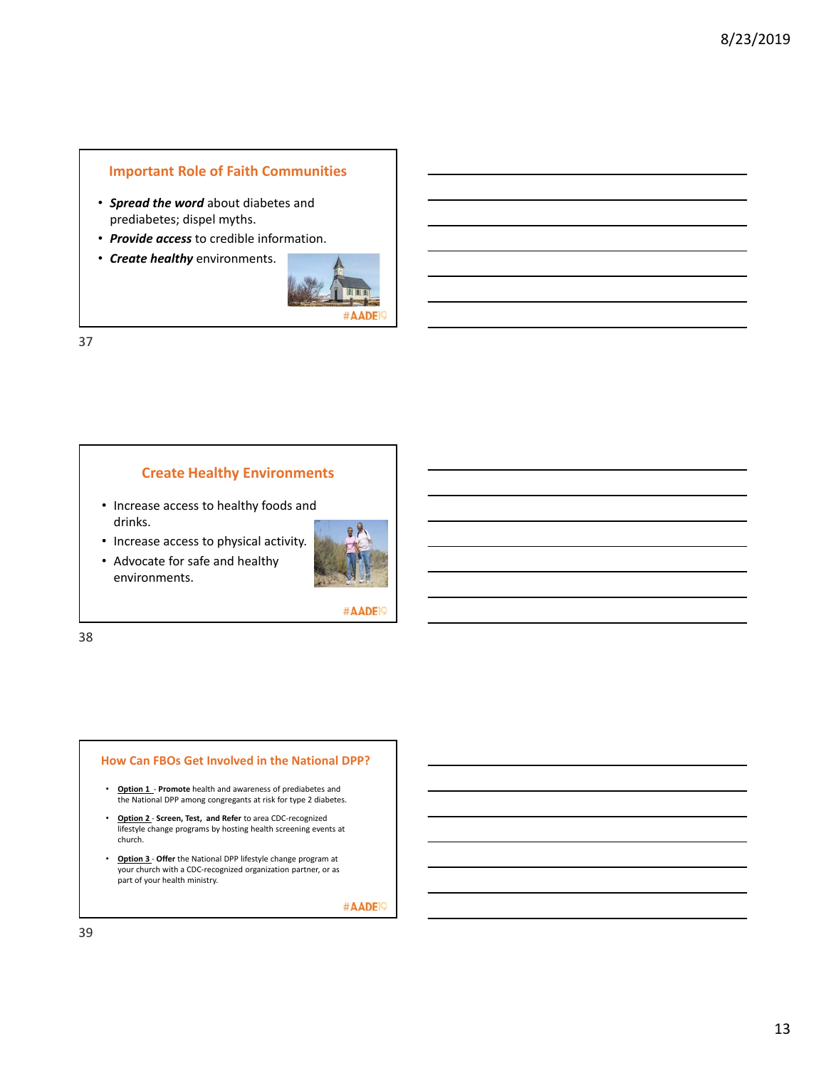# **Important Role of Faith Communities**

- *Spread the word* about diabetes and prediabetes; dispel myths.
- *Provide access* to credible information.
- *Create healthy* environments.



37

#### **Create Healthy Environments**

- Increase access to healthy foods and drinks.
- Increase access to physical activity.
- Advocate for safe and healthy environments.



#AADE<sup>19</sup>

38

#### **How Can FBOs Get Involved in the National DPP?**

- **Option 1 Promote** health and awareness of prediabetes and the National DPP among congregants at risk for type 2 diabetes.
- **Option 2** ‐ **Screen, Test, and Refer** to area CDC‐recognized lifestyle change programs by hosting health screening events at church.
- **Option 3** ‐ **Offer** the National DPP lifestyle change program at your church with a CDC‐recognized organization partner, or as part of your health ministry.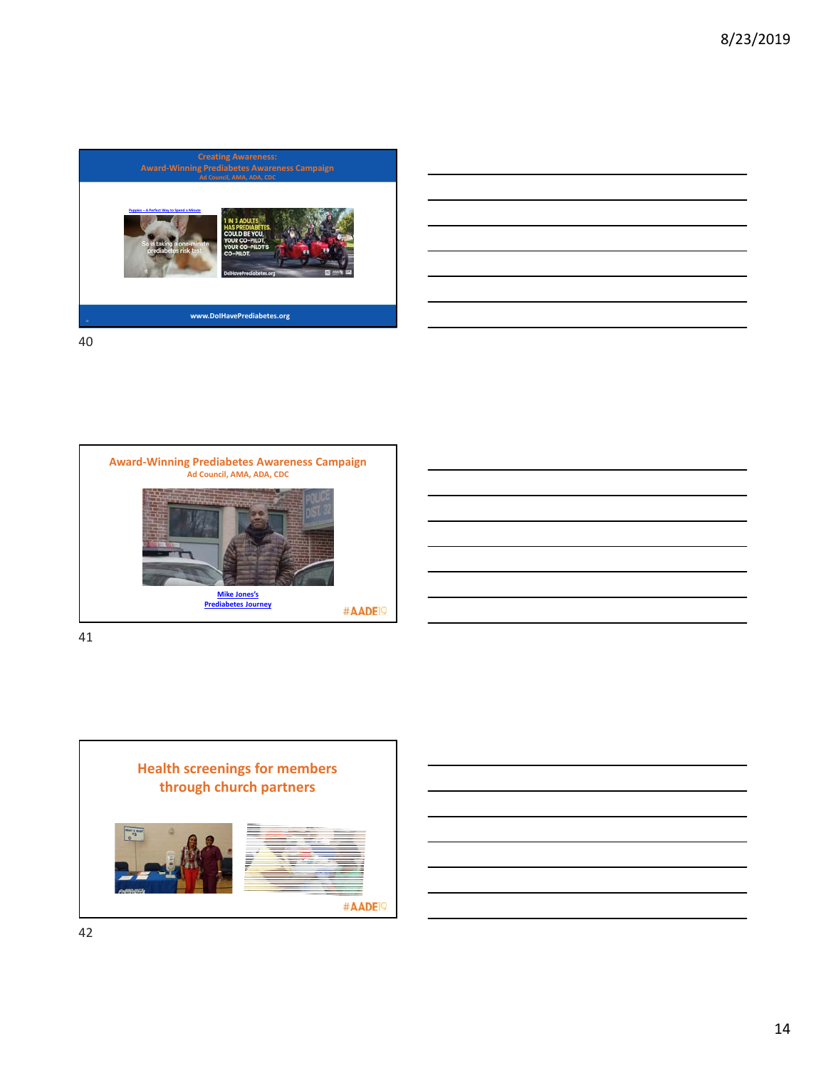





41

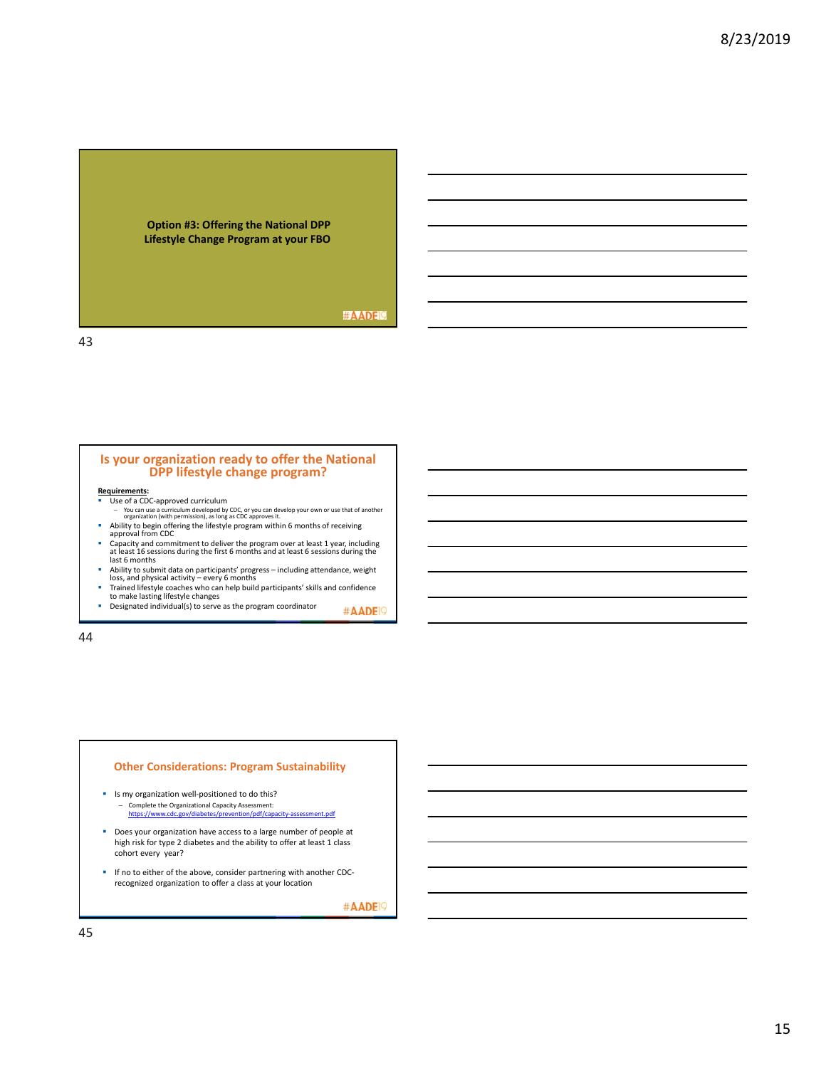

#### #AADEI?

43

#### **Is your organization ready to offer the National DPP lifestyle change program?**

#### **Requirements:**

- Use of a CDC-approved curriculum You can use a curriculum developed by CDC, or you can develop your own or use that of another organization (with permission), as long as CDC approves it.
- Ability to begin offering the lifestyle program within 6 months of receiving approval from CDC
- Capacity and commitment to deliver the program over at least 1 year, including at least 16 sessions during the first 6 months and at least 6 sessions during the last 6 months
- Ability to submit data on participants' progress including attendance, weight<br>loss, and physical activity every 6 months<br>Trained lifestyle coaches who can help build participants' skills and confidence<br>to make lasting
- 
- Designated individual(s) to serve as the program coordinator #AADE<sup>19</sup>

44

#### **Other Considerations: Program Sustainability**

- Is my organization well-positioned to do this? – Complete the Organizational Capacity Assessment:<br>https://www.cdc.gov/diabetes/prevention/pdf/cap
	- https://www.cdc.gov/diabetes/prevention/pdf/capacity‐assessment.pdf
- **Does your organization have access to a large number of people at** high risk for type 2 diabetes and the ability to offer at least 1 class cohort every year?
- If no to either of the above, consider partnering with another CDCrecognized organization to offer a class at your location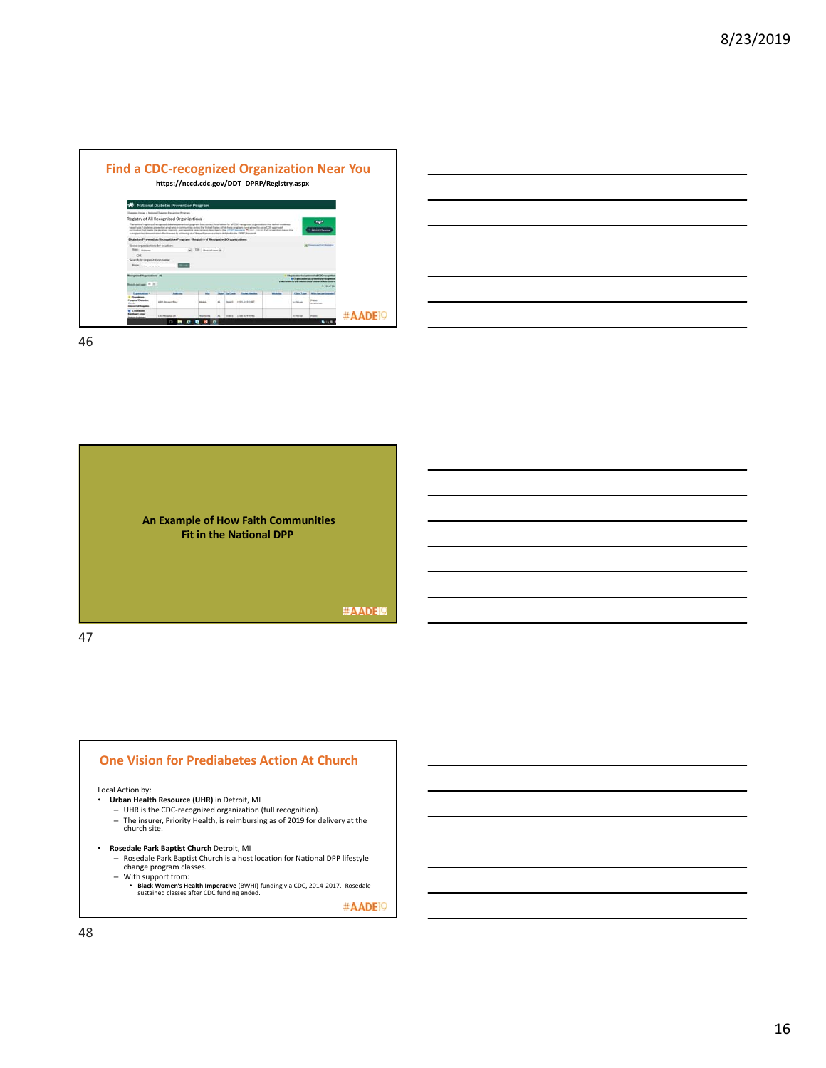

| ,我们也不会有一个人的事情。""我们的人们,我们也不会有一个人的人,我们也不会有一个人的人,我们也不会有一个人的人,我们也不会有一个人的人,我们也不会有一个人的<br>第一百一十一章 我们的人,我们的人们的人们,我们的人们的人们的人们,我们的人们的人们的人们,我们的人们的人们的人们,我们的人们的人们,我们的人们的人们,我们的人 |                                                                                 |  |
|----------------------------------------------------------------------------------------------------------------------------------------------------------------------|---------------------------------------------------------------------------------|--|
|                                                                                                                                                                      |                                                                                 |  |
| ,我们也不会有一个人的事情。""我们的人,我们也不会有一个人的人,我们也不会有一个人的人,我们也不会有一个人的人,我们也不会有一个人的人,我们也不会有一个人的人,                                                                                    |                                                                                 |  |
| ,我们也不会有一个人的事情。""我们的人们,我们也不会有一个人的人,我们也不会有一个人的人,我们也不会有一个人的人,我们也不会有一个人的人,我们也不会有一个人的<br>第一百一十一章 我们的人,我们的人们的人们,我们的人们的人们,我们的人们的人们,我们的人们的人们,我们的人们的人们,我们的人们的人们,我们的人们的人们,我们的人 | the contract of the contract of the contract of the contract of the contract of |  |
|                                                                                                                                                                      |                                                                                 |  |



#### **One Vision for Prediabetes Action At Church**

#### Local Action by:

- **Urban Health Resource (UHR)** in Detroit, MI
	- UHR is the CDC-recognized organization (full recognition).<br>— The insurer, Priority Health, is reimbursing as of 2019 for delivery at the<br>church site.
- **Rosedale Park Baptist Church** Detroit, MI
	- Rosedale Park Baptist Church is a host location for National DPP lifestyle change program classes.
	- With support from: **Black Women's Health Imperative** (BWHI) funding via CDC, 2014‐2017. Rosedale sustained classes after CDC funding ended.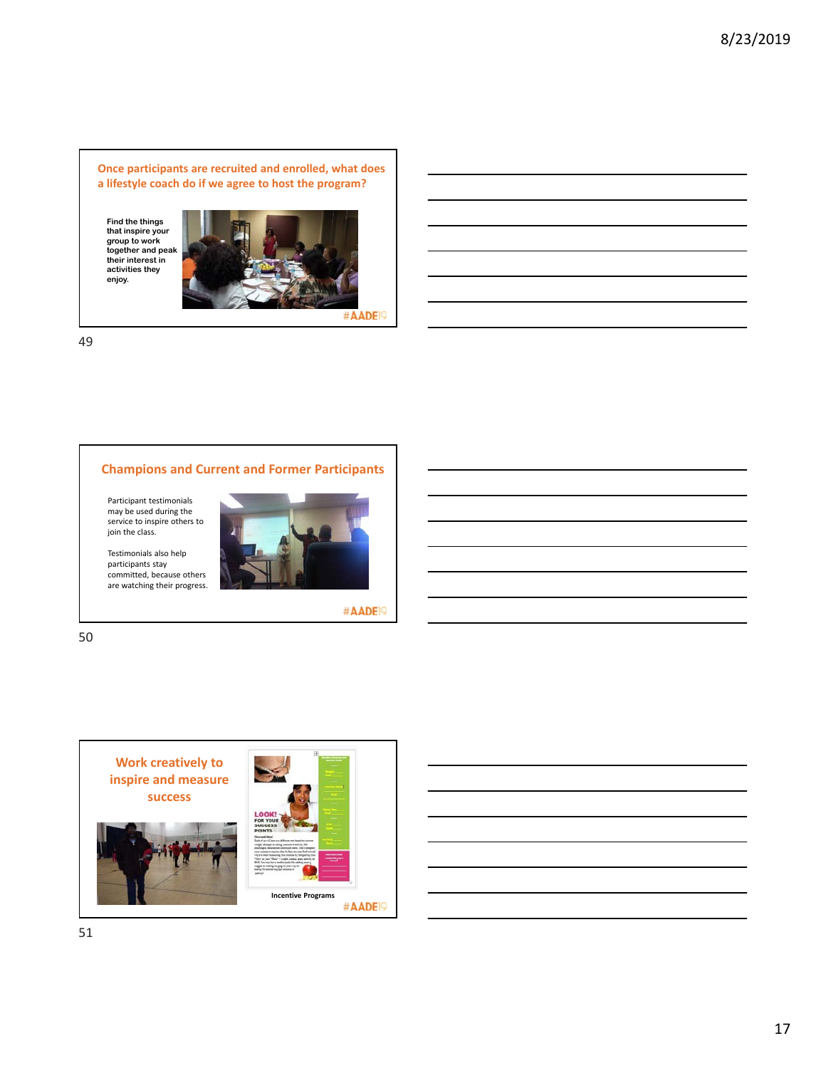**Once participants are recruited and enrolled, what does a lifestyle coach do if we agree to host the program?**

**Find the things that inspire your group to work together and peak their interest in activities they enjoy.**



#AADE<sup>19</sup>

49

# **Champions and Current and Former Participants**

Participant testimonials may be used during the service to inspire others to join the class.

Testimonials also help



#AADE<sup>19</sup>

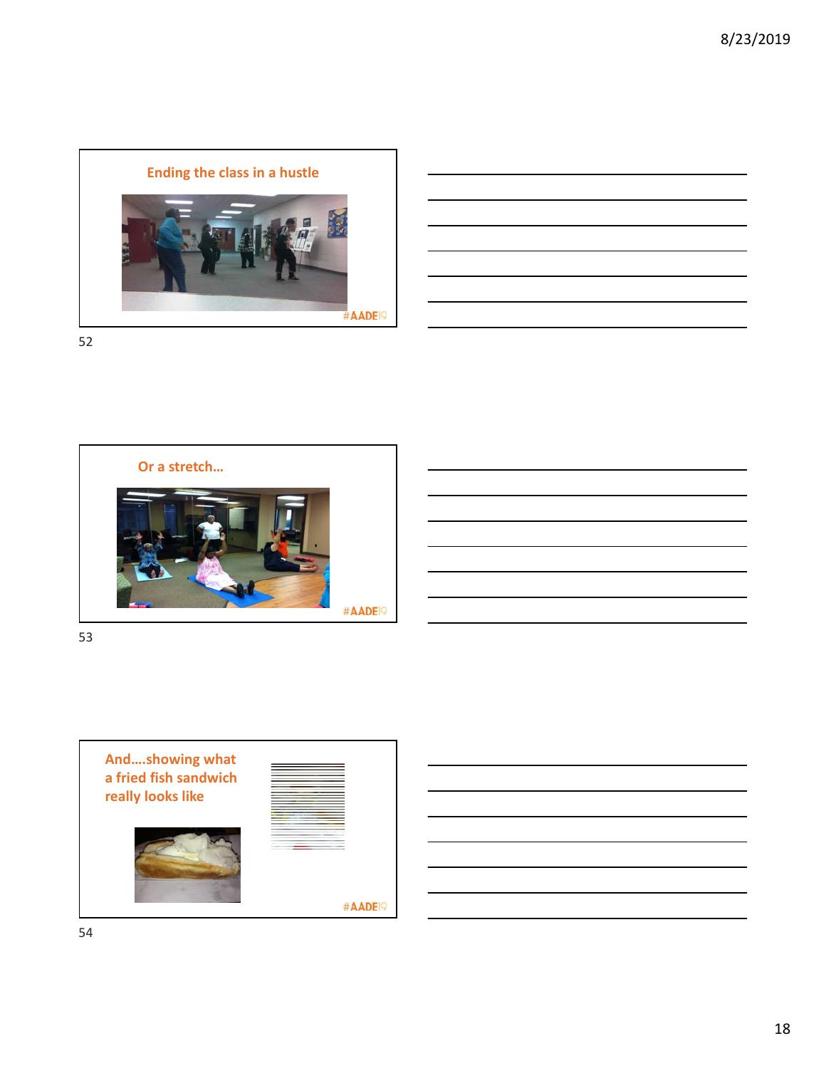



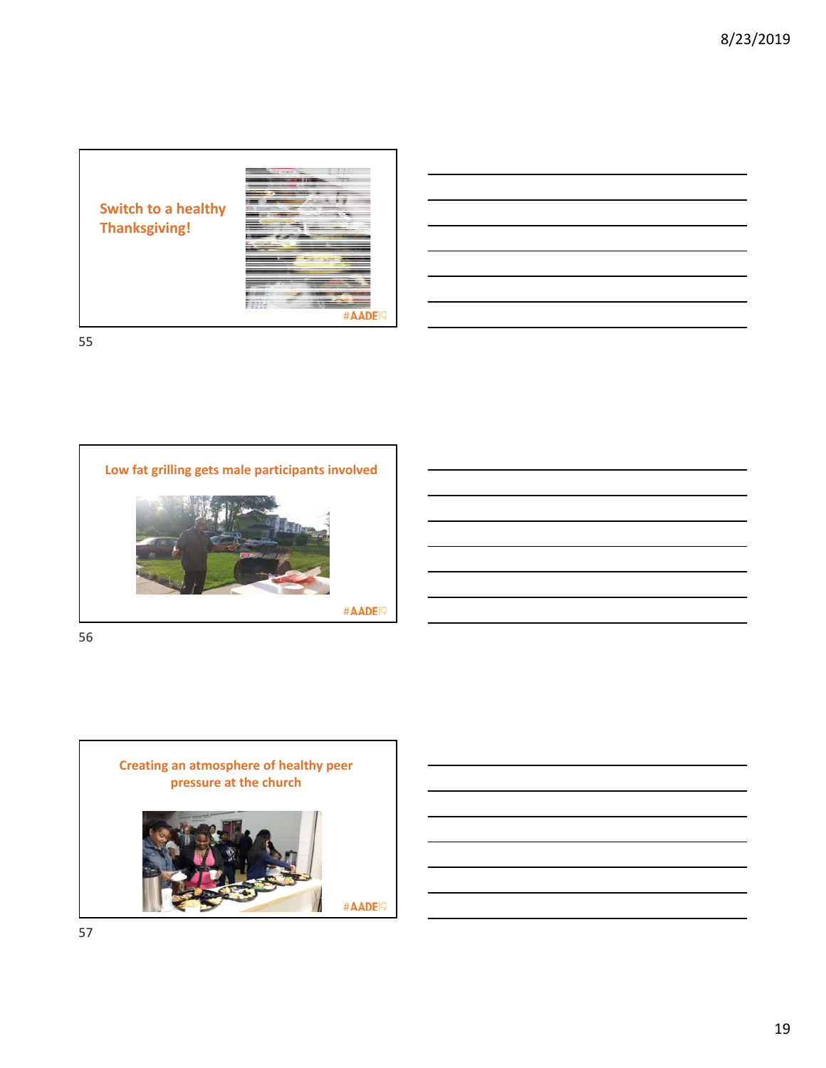**Switch to a healthy Thanksgiving!**



| <b>STEP</b> |  |
|-------------|--|

55



56



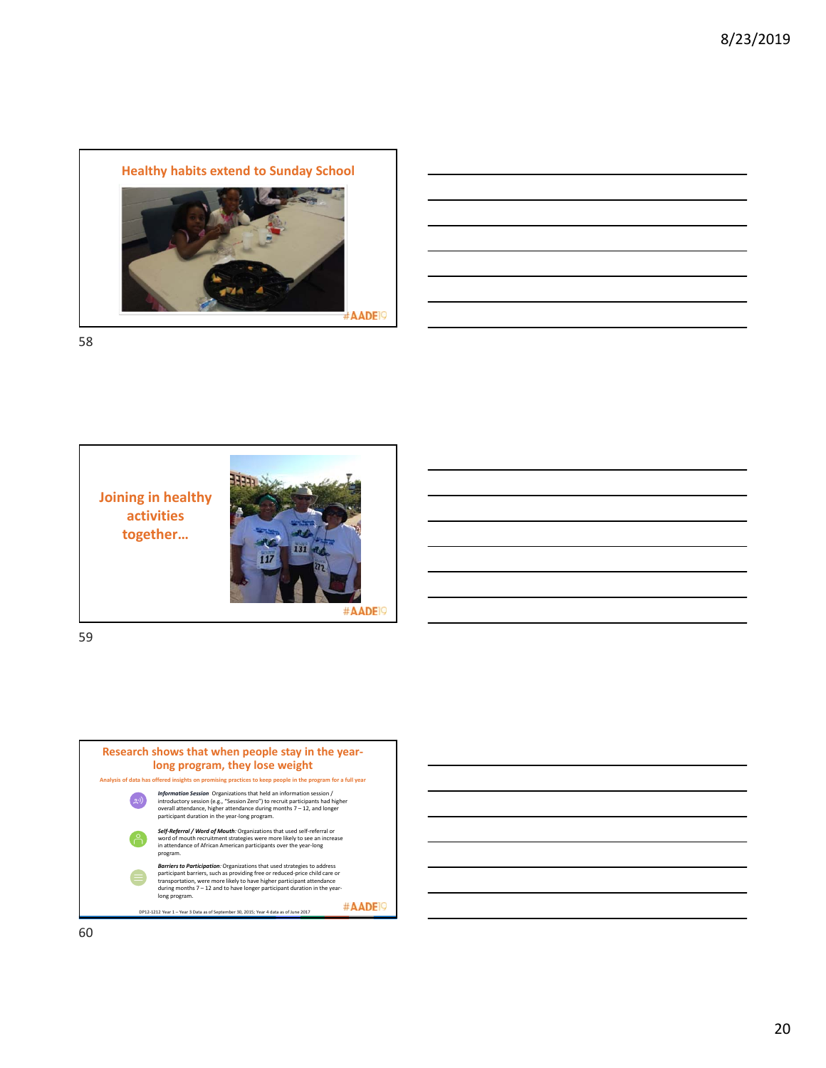





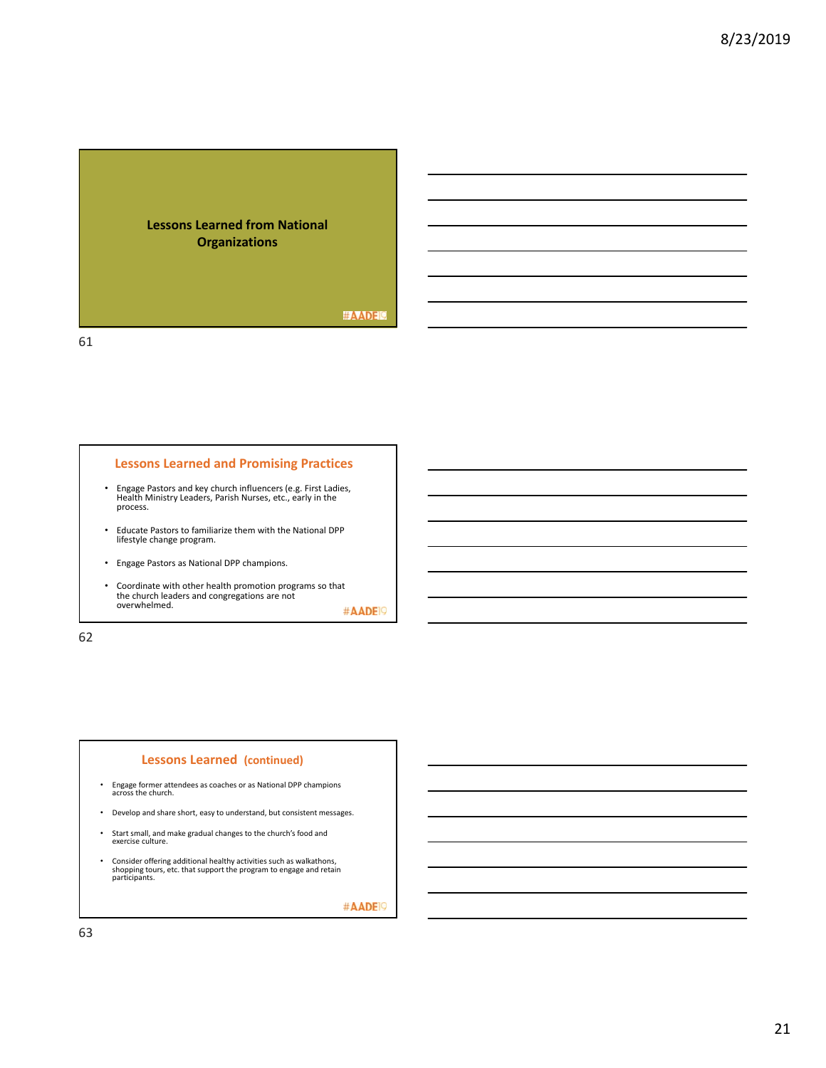

#### **Lessons Learned and Promising Practices**

- Engage Pastors and key church influencers (e.g. First Ladies, Health Ministry Leaders, Parish Nurses, etc., early in the process.
- Educate Pastors to familiarize them with the National DPP lifestyle change program.
- Engage Pastors as National DPP champions.
- Coordinate with other health promotion programs so that the church leaders and congregations are not overwhelmed.

#AADE<sup>19</sup>

62

#### **Lessons Learned (continued)**

- Engage former attendees as coaches or as National DPP champions across the church.
- Develop and share short, easy to understand, but consistent messages.
- Start small, and make gradual changes to the church's food and exercise culture.
- Consider offering additional healthy activities such as walkathons, shopping tours, etc. that support the program to engage and retain participants.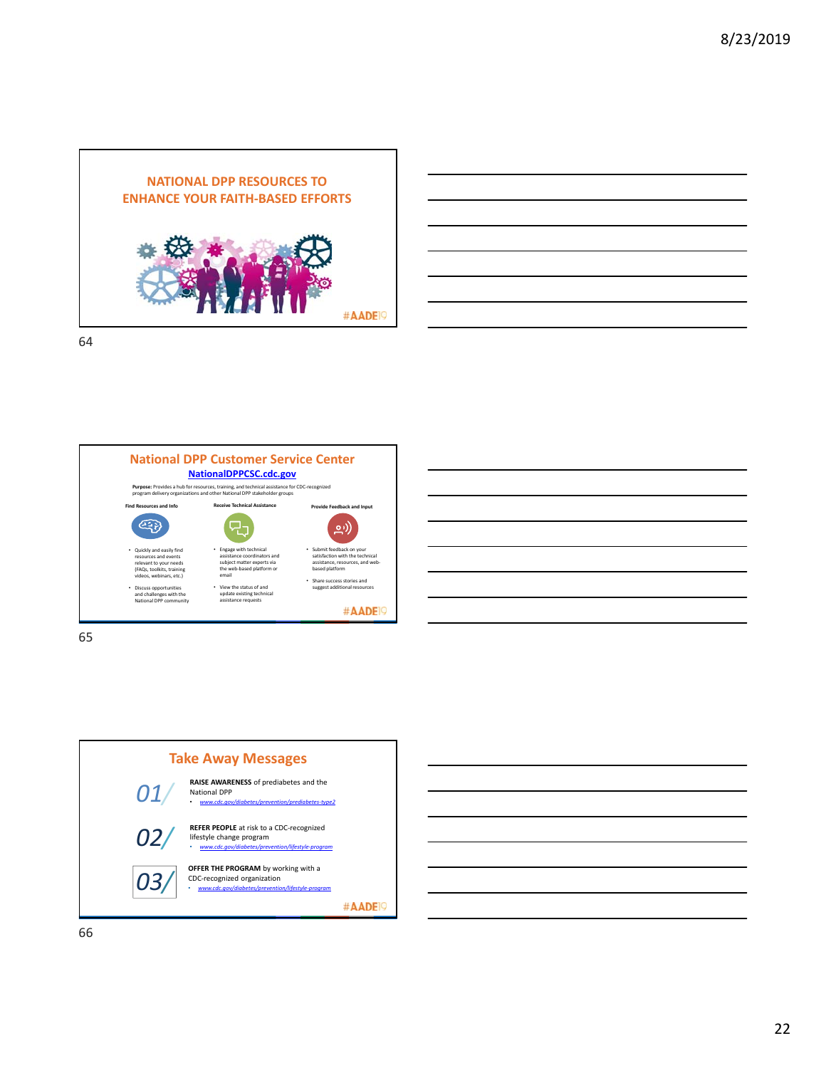

| <u>successive and the second control of the second control of the second control of the second control of the second</u> |                                                                                                                      |  | _____                                                                                                               |
|--------------------------------------------------------------------------------------------------------------------------|----------------------------------------------------------------------------------------------------------------------|--|---------------------------------------------------------------------------------------------------------------------|
|                                                                                                                          |                                                                                                                      |  | and the contract of the contract of the contract of the contract of the contract of the contract of the contract of |
|                                                                                                                          | <u> 1989 - Andrea Santa Andrea Andrea Andrea Andrea Andrea Andrea Andrea Andrea Andrea Andrea Andrea Andrea Andr</u> |  |                                                                                                                     |
|                                                                                                                          |                                                                                                                      |  | and the contract of the contract of the contract of the contract of the contract of the contract of the contract of |
|                                                                                                                          |                                                                                                                      |  |                                                                                                                     |



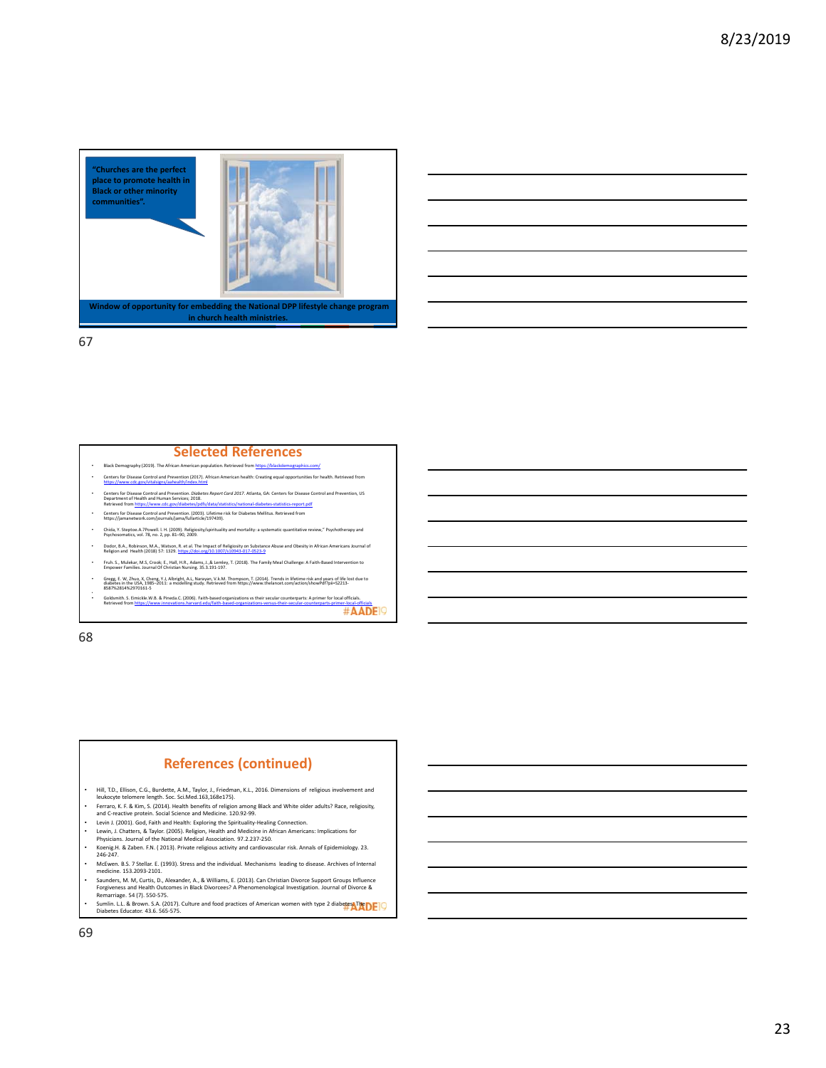



# **Selected References**

- Black Demography (2019). The African A
- Centers for Disease Control and Prevention (2017). African American health: Creating equal opportunities for health. Retri<br>https://www.cdc.gov/vitalsigns/aahealth/index.html
- Centers for Disease Control and Prevention. Diabetes Report Card 2017. Atlanta, GA: Centers for Disease Control and Prevention, US<br>Department of Health and Human Services; 2018.<br>Retrieved from <u>https://www.cdc.gov/diabetes</u> • Centers for Disease Control and Prevention. (2003). Lifetime risk for Diabetes Mellitus. Retrieved from https://jamanetwork.com/journals/jama/fullarticle/197439).
- 
- Chida, Y. Steptoe.A.7Powell. l. H. (2009). Religiosity/spirituality and mortality: a systematic quantitative review, psychosomatics, vol. 78, no. 2, pp. 81–90, 2009.
- Dodor, B.A., Robinson, M.A., Watson, R. et al. The Impact of Religiosity on Substance Abuse and Obesity in African Americans Journal of Religion and Health (2018) 57: 1329. https://doi.org/10.1007/s10943‐017‐0523‐9
- Fruh. S., Mulekar, M.S, Crook; E., Hall, H.R., Adams, J.,& Lemley, T. (2018). The Family Meal Challenge: A Faith‐Based Inte<br>Empower Families. Journal Of Christian Nursing. 35.3.191‐197.
- Gregg, E. W, Zhuo, X, Cheng, Y.J, Albright, A.L, Narayan, V.k.M. Thompson, T. (2014). Trends in lifetime risk and years of life lost due to<br>diabetes in the USA, 1985–2011: a modelling study. Retrieved from https://www.thel
- Goldsmith 5. Emiole. W.B. & Pineda.C. (2006). Faith-based organizations os their secular counterparts: A primer for local officials.<br>Retrieved from https://www.innovations.harvard.edu/faith-based-organization-versus-ittei

68

#### **References (continued)**

- 
- Hill, T.D., Ellison, C.G., Burdette, A.M., Taylor, J., Friedman, K.L., 2016. Dimensions of religious involvement and<br>Ferukoryte telomere length. Soc. Sci.Med.163,168e175).<br>Ferraro, K. F.& Kim, S. (2014). Health benefits of
- Levin J. (2001). God, Faith and Health: Exploring the Spirituality-Healing Connection<br>• Levin J. (2001). God, Faith and Health: Exploring the Spirituality-Healing Connection<br>• Lewin J. Chatters. & Tavlor. (2005). Religio
- Lewin, J. Chatters, & Taylor. (2005). Religion, Health and Medicine in African Americans: Implications for Physicians. Journal of the National Medical Association. 97.2.237‐250. • Koenig.H. & Zaben. F.N. ( 2013). Private religious activity and cardiovascular risk. Annals of Epidemiology. 23.
- 246‐247. • McEwen. B.S. 7 Stellar. E. (1993). Stress and the individual. Mechanisms leading to disease. Archives of Internal
- medicine. 153.2093-2101.<br>• Saunders, M. M, Curtis, D., Alexander, A., & Williams, E. (2013). Can Christian Divorce Support Groups Influence<br>Forgiveness and Health Outcomes in Black Divorcees? A Phenomenological Investigati
- Sumlin. L.L. & Brown. S.A. (2017). Culture and food practices of American women with type 2 diabetes. The Diabetes Educator. 43.6. 565‐575.
- 69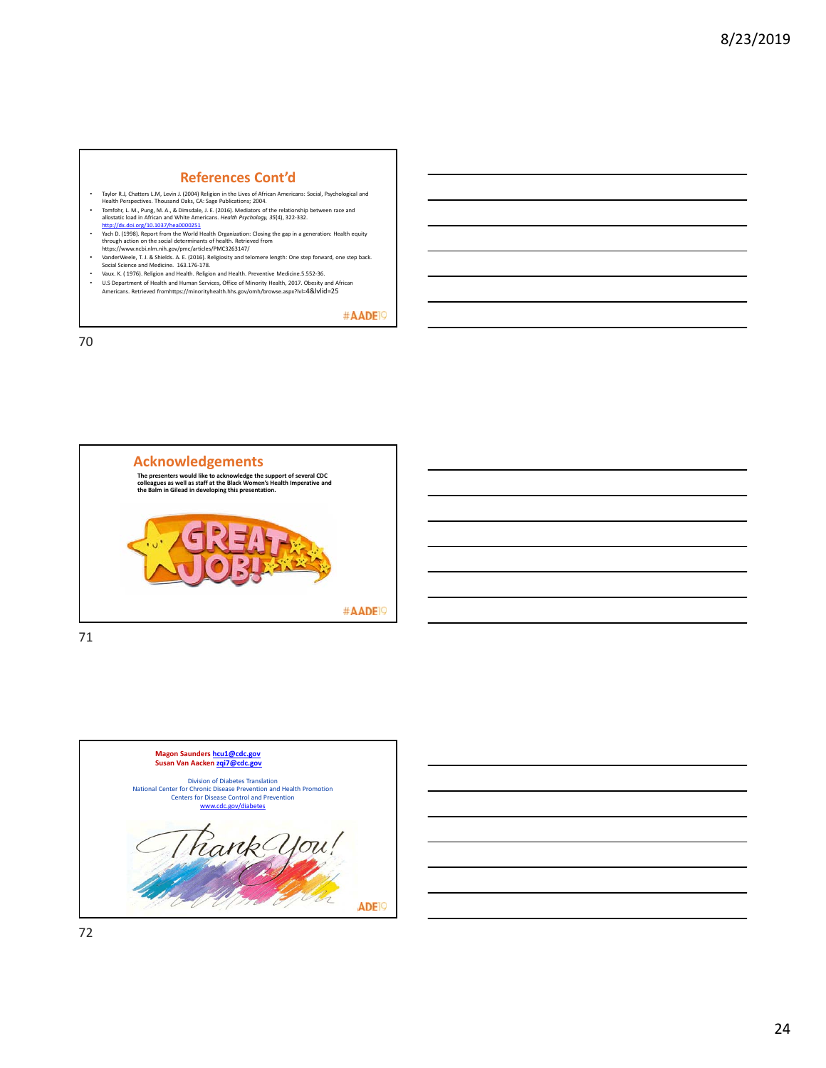#### **References Cont'd**

- 
- Taylor R.J, Chatters L.M., Levin J. (2004) Religion in the Lives of African Americans: Social, Psychological and<br>Tenth Perspectives. Thousand Oaks, CA: Sage Publications; 2004.<br>Tomfohr, L. M., Pung, M. A., & Dimsdale, J. E
- Mach D. (1998). Report from the World Health Organization: Closing the gap in a generation: Health equity<br>through action on the social determinants of health. Retrieved from<br>https://www.ncb.inlm.nih.gov/pmc/articles/PMC326
- 
- Vaux. K. (1976). Religion and Health. Religion and Health. Preventive Medicine.5.552-36.<br>• U.S Department of Health and Human Services. Office of Minority Health. 2017. Obesity a
- U.S Department of Health and Human Services, Office of Minority Health, 2017. Obesity and African Americans. Retrieved fromhttps://minorityhealth.hhs.gov/omh/browse.aspx?lvl=4&lvlid=25

#AADE<sup>19</sup>

70